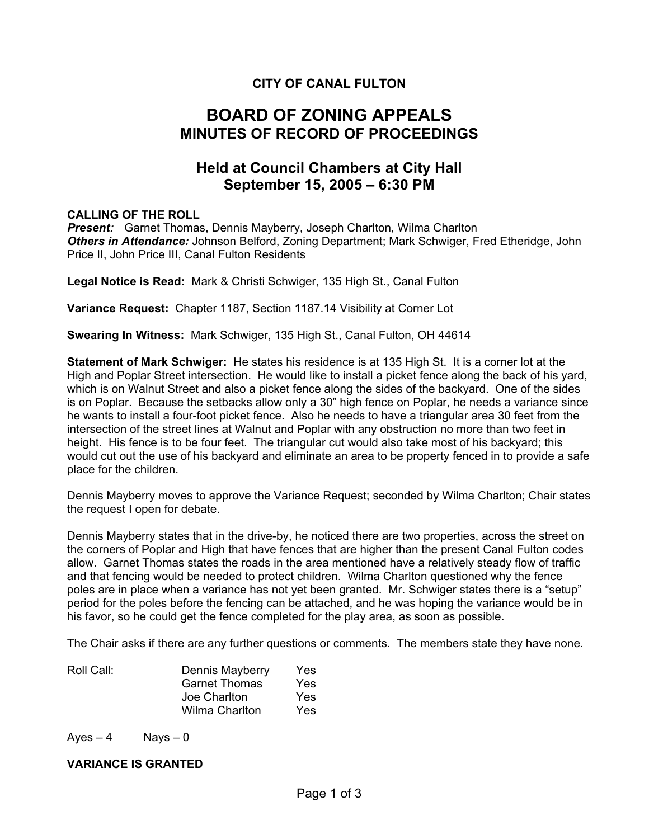# **CITY OF CANAL FULTON**

# **BOARD OF ZONING APPEALS MINUTES OF RECORD OF PROCEEDINGS**

# **Held at Council Chambers at City Hall September 15, 2005 – 6:30 PM**

#### **CALLING OF THE ROLL**

*Present:* Garnet Thomas, Dennis Mayberry, Joseph Charlton, Wilma Charlton *Others in Attendance:* Johnson Belford, Zoning Department; Mark Schwiger, Fred Etheridge, John Price II, John Price III, Canal Fulton Residents

**Legal Notice is Read:** Mark & Christi Schwiger, 135 High St., Canal Fulton

**Variance Request:** Chapter 1187, Section 1187.14 Visibility at Corner Lot

**Swearing In Witness:** Mark Schwiger, 135 High St., Canal Fulton, OH 44614

**Statement of Mark Schwiger:** He states his residence is at 135 High St. It is a corner lot at the High and Poplar Street intersection. He would like to install a picket fence along the back of his yard, which is on Walnut Street and also a picket fence along the sides of the backyard. One of the sides is on Poplar. Because the setbacks allow only a 30" high fence on Poplar, he needs a variance since he wants to install a four-foot picket fence. Also he needs to have a triangular area 30 feet from the intersection of the street lines at Walnut and Poplar with any obstruction no more than two feet in height. His fence is to be four feet. The triangular cut would also take most of his backyard; this would cut out the use of his backyard and eliminate an area to be property fenced in to provide a safe place for the children.

Dennis Mayberry moves to approve the Variance Request; seconded by Wilma Charlton; Chair states the request I open for debate.

Dennis Mayberry states that in the drive-by, he noticed there are two properties, across the street on the corners of Poplar and High that have fences that are higher than the present Canal Fulton codes allow. Garnet Thomas states the roads in the area mentioned have a relatively steady flow of traffic and that fencing would be needed to protect children. Wilma Charlton questioned why the fence poles are in place when a variance has not yet been granted. Mr. Schwiger states there is a "setup" period for the poles before the fencing can be attached, and he was hoping the variance would be in his favor, so he could get the fence completed for the play area, as soon as possible.

The Chair asks if there are any further questions or comments. The members state they have none.

| Dennis Mayberry       | Yes |
|-----------------------|-----|
| <b>Garnet Thomas</b>  | Yes |
| Joe Charlton          | Yes |
| <b>Wilma Charlton</b> | Yes |
|                       |     |

 $Ayes - 4$  Nays – 0

#### **VARIANCE IS GRANTED**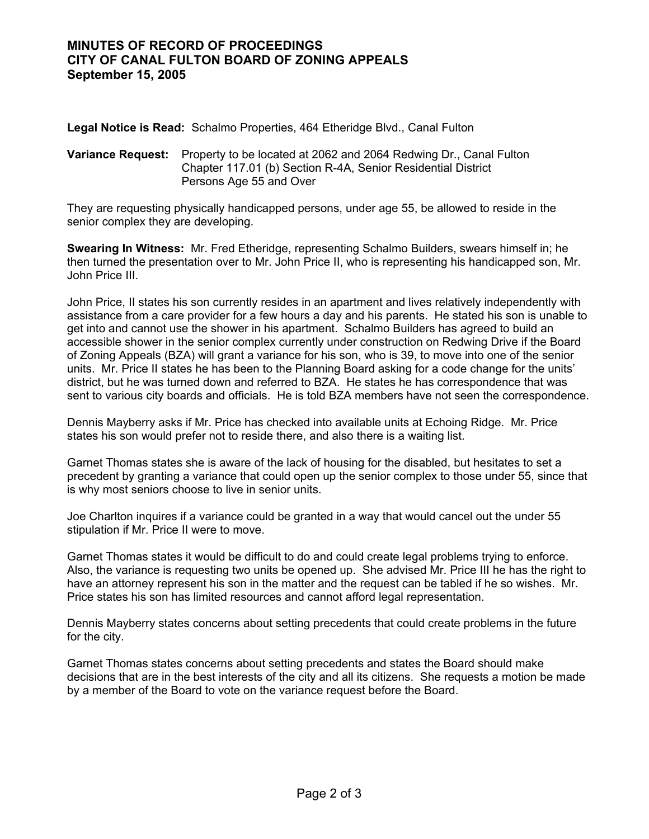### **MINUTES OF RECORD OF PROCEEDINGS CITY OF CANAL FULTON BOARD OF ZONING APPEALS September 15, 2005**

**Legal Notice is Read:** Schalmo Properties, 464 Etheridge Blvd., Canal Fulton

#### **Variance Request:** Property to be located at 2062 and 2064 Redwing Dr., Canal Fulton Chapter 117.01 (b) Section R-4A, Senior Residential District Persons Age 55 and Over

They are requesting physically handicapped persons, under age 55, be allowed to reside in the senior complex they are developing.

**Swearing In Witness:** Mr. Fred Etheridge, representing Schalmo Builders, swears himself in; he then turned the presentation over to Mr. John Price II, who is representing his handicapped son, Mr. John Price III.

John Price, II states his son currently resides in an apartment and lives relatively independently with assistance from a care provider for a few hours a day and his parents. He stated his son is unable to get into and cannot use the shower in his apartment. Schalmo Builders has agreed to build an accessible shower in the senior complex currently under construction on Redwing Drive if the Board of Zoning Appeals (BZA) will grant a variance for his son, who is 39, to move into one of the senior units. Mr. Price II states he has been to the Planning Board asking for a code change for the units' district, but he was turned down and referred to BZA. He states he has correspondence that was sent to various city boards and officials. He is told BZA members have not seen the correspondence.

Dennis Mayberry asks if Mr. Price has checked into available units at Echoing Ridge. Mr. Price states his son would prefer not to reside there, and also there is a waiting list.

Garnet Thomas states she is aware of the lack of housing for the disabled, but hesitates to set a precedent by granting a variance that could open up the senior complex to those under 55, since that is why most seniors choose to live in senior units.

Joe Charlton inquires if a variance could be granted in a way that would cancel out the under 55 stipulation if Mr. Price II were to move.

Garnet Thomas states it would be difficult to do and could create legal problems trying to enforce. Also, the variance is requesting two units be opened up. She advised Mr. Price III he has the right to have an attorney represent his son in the matter and the request can be tabled if he so wishes. Mr. Price states his son has limited resources and cannot afford legal representation.

Dennis Mayberry states concerns about setting precedents that could create problems in the future for the city.

Garnet Thomas states concerns about setting precedents and states the Board should make decisions that are in the best interests of the city and all its citizens. She requests a motion be made by a member of the Board to vote on the variance request before the Board.